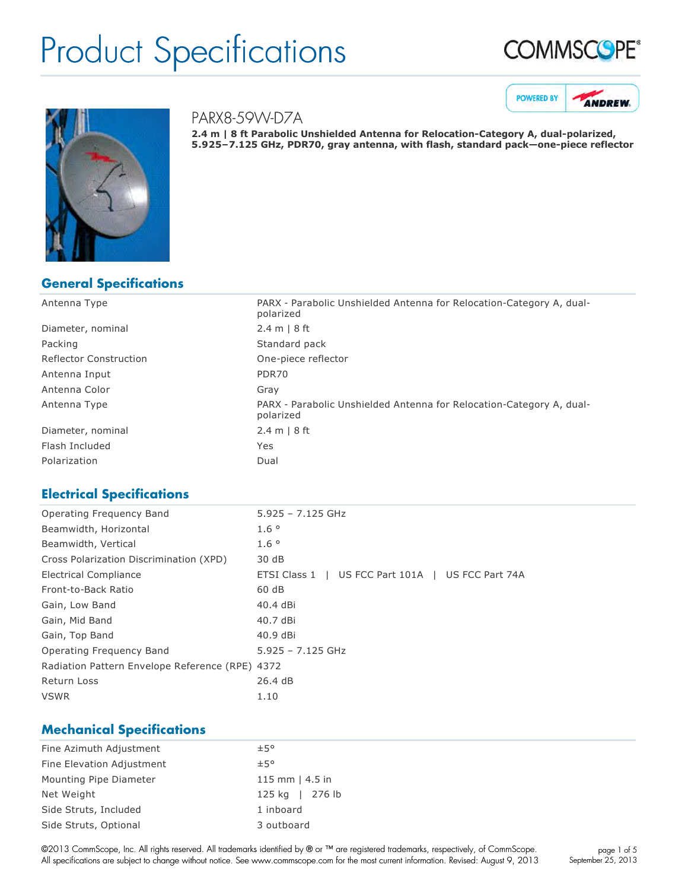





#### PARX8-59W-D7A

**2.4 m | 8 ft Parabolic Unshielded Antenna for Relocation-Category A, dual-polarized, 5.925–7.125 GHz, PDR70, gray antenna, with flash, standard pack—onepiece reflector**

### **General Specifications**

| Antenna Type                  | PARX - Parabolic Unshielded Antenna for Relocation-Category A, dual-<br>polarized |
|-------------------------------|-----------------------------------------------------------------------------------|
| Diameter, nominal             | 2.4 m   8 ft                                                                      |
| Packing                       | Standard pack                                                                     |
| <b>Reflector Construction</b> | One-piece reflector                                                               |
| Antenna Input                 | PDR70                                                                             |
| Antenna Color                 | Gray                                                                              |
| Antenna Type                  | PARX - Parabolic Unshielded Antenna for Relocation-Category A, dual-<br>polarized |
| Diameter, nominal             | 2.4 m   8 ft                                                                      |
| Flash Included                | Yes                                                                               |
| Polarization                  | Dual                                                                              |

### **Electrical Specifications**

| Operating Frequency Band                        | $5.925 - 7.125$ GHz                               |
|-------------------------------------------------|---------------------------------------------------|
| Beamwidth, Horizontal                           | $1.6^\circ$                                       |
| Beamwidth, Vertical                             | $1.6^\circ$                                       |
| Cross Polarization Discrimination (XPD)         | 30 dB                                             |
| Electrical Compliance                           | ETSI Class 1   US FCC Part 101A   US FCC Part 74A |
| Front-to-Back Ratio                             | 60 dB                                             |
| Gain, Low Band                                  | 40.4 dBi                                          |
| Gain, Mid Band                                  | 40.7 dBi                                          |
| Gain, Top Band                                  | 40.9 dBi                                          |
| Operating Frequency Band                        | $5.925 - 7.125$ GHz                               |
| Radiation Pattern Envelope Reference (RPE) 4372 |                                                   |
| Return Loss                                     | 26.4 dB                                           |
| <b>VSWR</b>                                     | 1.10                                              |
|                                                 |                                                   |

### **Mechanical Specifications**

| Fine Azimuth Adjustment   | ±5°                  |
|---------------------------|----------------------|
| Fine Elevation Adjustment | ±5°                  |
| Mounting Pipe Diameter    | 115 mm $\mid$ 4.5 in |
| Net Weight                | 125 kg   276 lb      |
| Side Struts, Included     | 1 inboard            |
| Side Struts, Optional     | 3 outboard           |

©2013 CommScope, Inc. All rights reserved. All trademarks identified by ® or ™ are registered trademarks, respectively, of CommScope. All specifications are subject to change without notice. See www.commscope.com for the most current information. Revised: August 9, 2013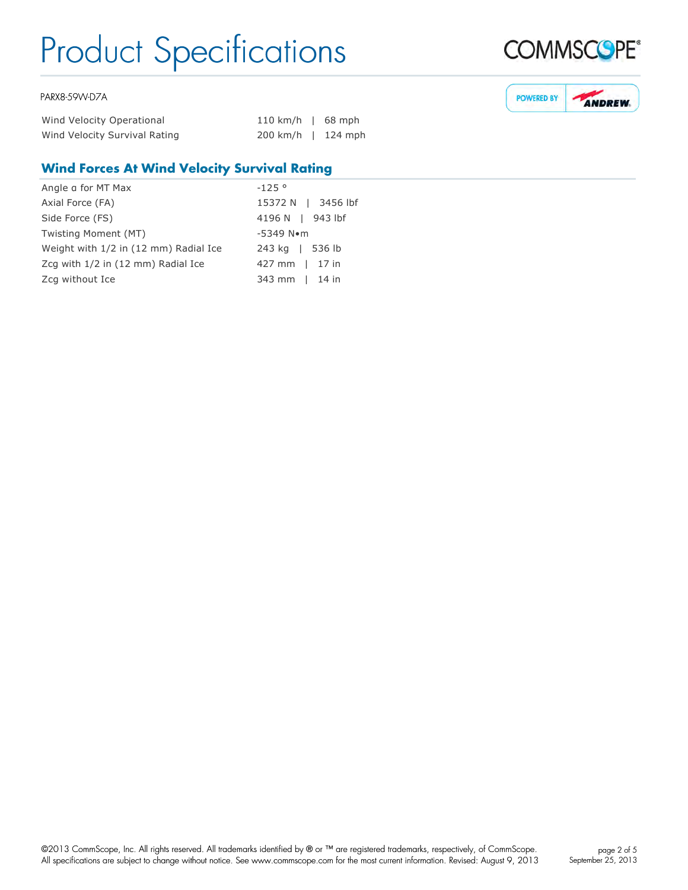#### PARX8-59W-D7A

| Wind Velocity Operational     | 110 km/h   68 mph            |  |
|-------------------------------|------------------------------|--|
| Wind Velocity Survival Rating | $200 \text{ km/h}$   124 mph |  |

### **Wind Forces At Wind Velocity Survival Rating**

| Angle a for MT Max                    | $-125°$                  |
|---------------------------------------|--------------------------|
| Axial Force (FA)                      | 15372 N   3456 lbf       |
| Side Force (FS)                       | 4196 N   943 lbf         |
| Twisting Moment (MT)                  | $-5349$ N $\bullet$ m    |
| Weight with 1/2 in (12 mm) Radial Ice | 243 kg   536 lb          |
| Zcq with 1/2 in (12 mm) Radial Ice    | $427 \text{ mm}$   17 in |
| Zcg without Ice                       | 343 mm   14 in           |



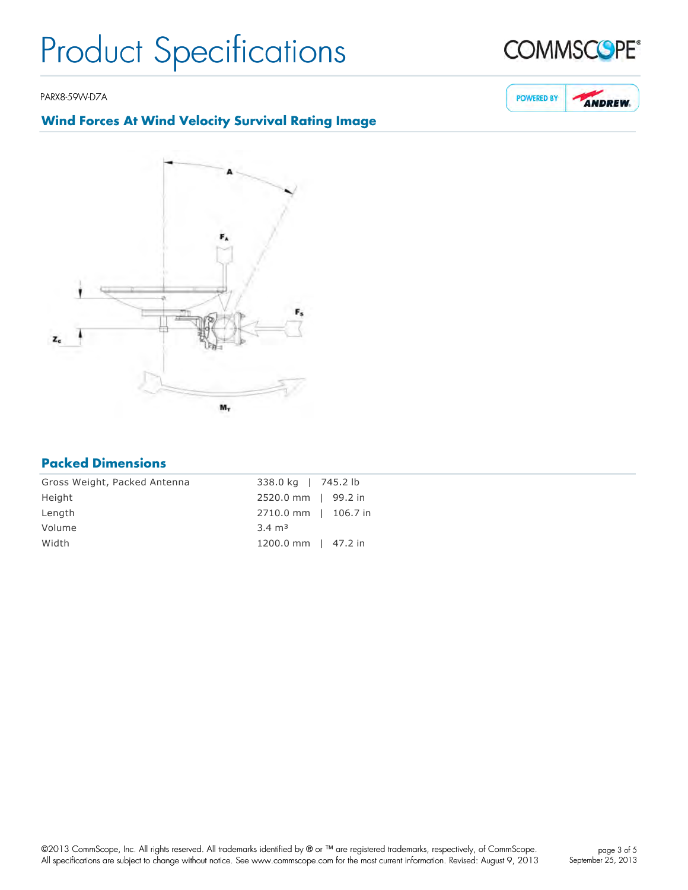PARX8-59W-D7A

### **Wind Forces At Wind Velocity Survival Rating Image**



### **Packed Dimensions**

| Gross Weight, Packed Antenna | 338.0 kg   745.2 lb  |  |
|------------------------------|----------------------|--|
| Height                       | 2520.0 mm   99.2 in  |  |
| Length                       | 2710.0 mm   106.7 in |  |
| Volume                       | $3.4 \text{ m}^3$    |  |
| Width                        | 1200.0 mm   47.2 in  |  |



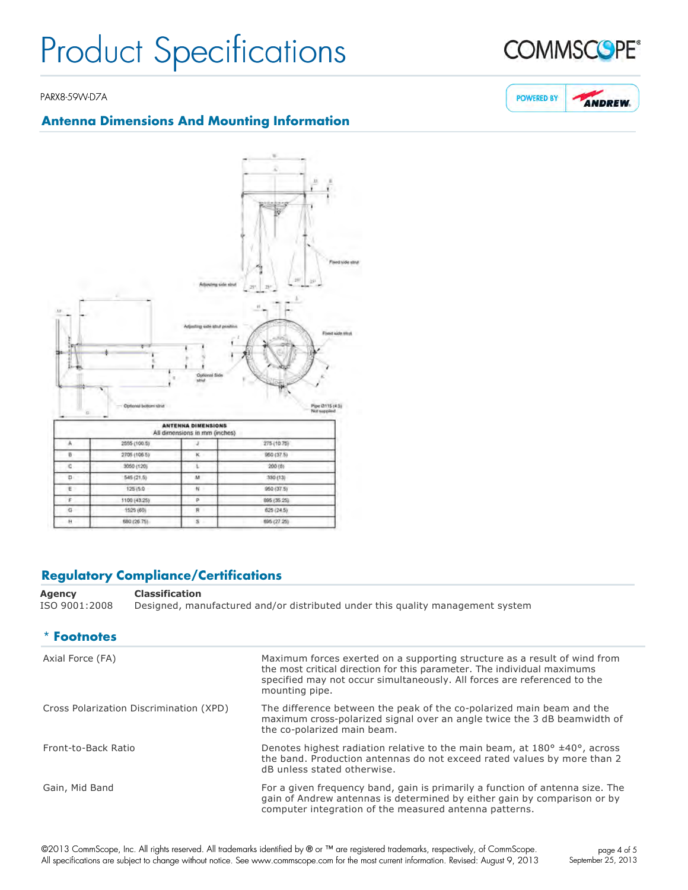#### PARX8-59W-D7A

### **Antenna Dimensions And Mounting Information**



### **Regulatory Compliance/Certifications**

**Agency Classification** ISO 9001:2008 Designed, manufactured and/or distributed under this quality management system

| * Footnotes                             |                                                                                                                                                                                                                                                    |
|-----------------------------------------|----------------------------------------------------------------------------------------------------------------------------------------------------------------------------------------------------------------------------------------------------|
| Axial Force (FA)                        | Maximum forces exerted on a supporting structure as a result of wind from<br>the most critical direction for this parameter. The individual maximums<br>specified may not occur simultaneously. All forces are referenced to the<br>mounting pipe. |
| Cross Polarization Discrimination (XPD) | The difference between the peak of the co-polarized main beam and the<br>maximum cross-polarized signal over an angle twice the 3 dB beamwidth of<br>the co-polarized main beam.                                                                   |
| Front-to-Back Ratio                     | Denotes highest radiation relative to the main beam, at $180^{\circ}$ ±40°, across<br>the band. Production antennas do not exceed rated values by more than 2<br>dB unless stated otherwise.                                                       |
| Gain, Mid Band                          | For a given frequency band, gain is primarily a function of antenna size. The<br>gain of Andrew antennas is determined by either gain by comparison or by<br>computer integration of the measured antenna patterns.                                |